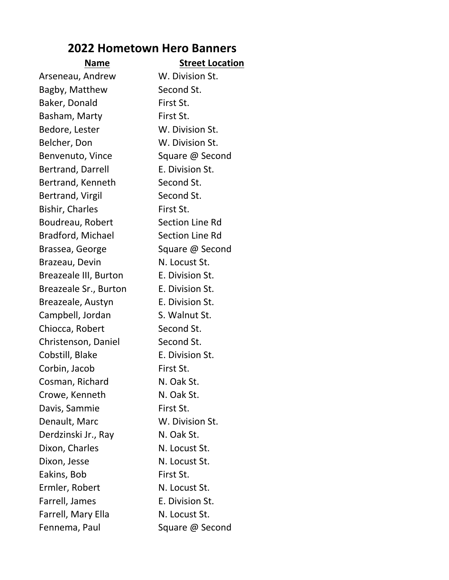## **2022 Hometown Hero Banners**

## **Name Street Location**

Arseneau, Andrew W. Division St. Bagby, Matthew Second St. Baker, Donald First St. Basham, Marty First St. Bedore, Lester W. Division St. Belcher, Don W. Division St. Benvenuto, Vince Square @ Second Bertrand, Darrell **E. Division St.** Bertrand, Kenneth Second St. Bertrand, Virgil Second St. Bishir, Charles First St. Boudreau, Robert Section Line Rd Bradford, Michael Section Line Rd Brassea, George Square @ Second Brazeau, Devin N. Locust St. Breazeale III, Burton E. Division St. Breazeale Sr., Burton E. Division St. Breazeale, Austyn E. Division St. Campbell, Jordan S. Walnut St. Chiocca, Robert Second St. Christenson, Daniel Second St. Cobstill, Blake E. Division St. Corbin, Jacob First St. Cosman, Richard N. Oak St. Crowe, Kenneth N. Oak St. Davis, Sammie First St. Denault, Marc W. Division St. Derdzinski Jr., Ray N. Oak St. Dixon, Charles N. Locust St. Dixon, Jesse N. Locust St. Eakins, Bob First St. Ermler, Robert N. Locust St. Farrell, James E. Division St. Farrell, Mary Ella N. Locust St. Fennema, Paul Square @ Second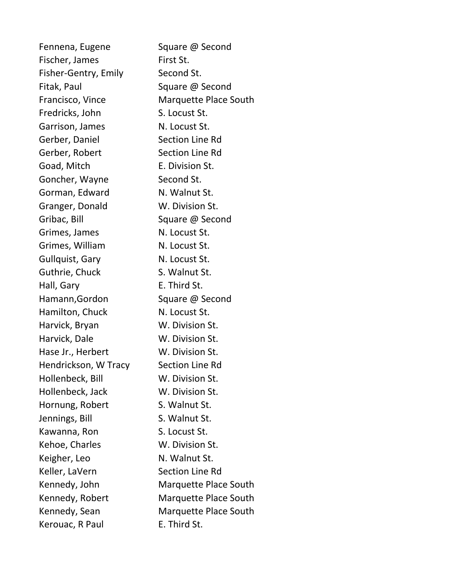Fennena, Eugene Square @ Second Fischer, James First St. Fisher-Gentry, Emily Second St. Fitak, Paul Square @ Second Francisco, Vince Marquette Place South Fredricks, John S. Locust St. Garrison, James N. Locust St. Gerber, Daniel Section Line Rd Gerber, Robert Section Line Rd Goad, Mitch E. Division St. Goncher, Wayne Second St. Gorman, Edward N. Walnut St. Granger, Donald W. Division St. Gribac, Bill Square @ Second Grimes, James N. Locust St. Grimes, William N. Locust St. Gullquist, Gary N. Locust St. Guthrie, Chuck S. Walnut St. Hall, Gary **E. Third St.** Hamann, Gordon Square @ Second Hamilton, Chuck N. Locust St. Harvick, Bryan W. Division St. Harvick, Dale W. Division St. Hase Jr., Herbert W. Division St. Hendrickson, W Tracy Section Line Rd Hollenbeck, Bill W. Division St. Hollenbeck, Jack W. Division St. Hornung, Robert S. Walnut St. Jennings, Bill S. Walnut St. Kawanna, Ron S. Locust St. Kehoe, Charles W. Division St. Keigher, Leo N. Walnut St. Keller, LaVern Section Line Rd Kennedy, John Marquette Place South Kennedy, Robert Marquette Place South Kennedy, Sean Marquette Place South Kerouac, R Paul E. Third St.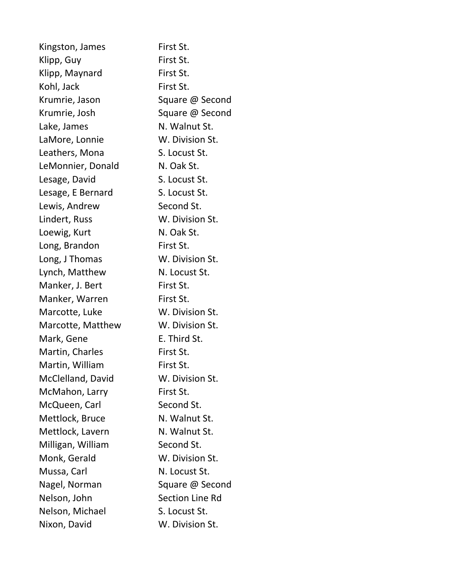| Kingston, James   | First St.              |
|-------------------|------------------------|
| Klipp, Guy        | First St.              |
| Klipp, Maynard    | First St.              |
| Kohl, Jack        | First St.              |
| Krumrie, Jason    | Square @ Second        |
| Krumrie, Josh     | Square @ Second        |
| Lake, James       | N. Walnut St.          |
| LaMore, Lonnie    | W. Division St.        |
| Leathers, Mona    | S. Locust St.          |
| LeMonnier, Donald | N. Oak St.             |
| Lesage, David     | S. Locust St.          |
| Lesage, E Bernard | S. Locust St.          |
| Lewis, Andrew     | Second St.             |
| Lindert, Russ     | W. Division St.        |
| Loewig, Kurt      | N. Oak St.             |
| Long, Brandon     | First St.              |
| Long, J Thomas    | W. Division St.        |
| Lynch, Matthew    | N. Locust St.          |
| Manker, J. Bert   | First St.              |
| Manker, Warren    | First St.              |
| Marcotte, Luke    | W. Division St.        |
| Marcotte, Matthew | W. Division St.        |
| Mark, Gene        | E. Third St.           |
| Martin, Charles   | First St.              |
| Martin, William   | First St.              |
| McClelland, David | W. Division St.        |
| McMahon, Larry    | First St.              |
| McQueen, Carl     | Second St.             |
| Mettlock, Bruce   | N. Walnut St.          |
| Mettlock, Lavern  | N. Walnut St.          |
| Milligan, William | Second St.             |
| Monk, Gerald      | W. Division St.        |
| Mussa, Carl       | N. Locust St.          |
| Nagel, Norman     | Square @ Second        |
| Nelson, John      | <b>Section Line Rd</b> |
| Nelson, Michael   | S. Locust St.          |
| Nixon, David      | W. Division St.        |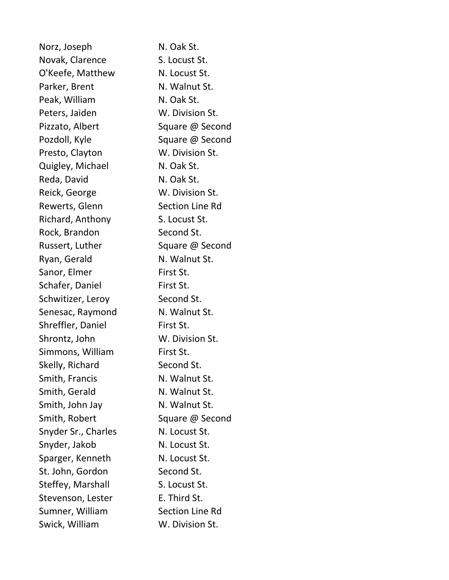Norz, Joseph N. Oak St. Novak, Clarence S. Locust St. O'Keefe. Matthew N. Locust St. Parker, Brent N. Walnut St. Peak, William N. Oak St. Peters, Jaiden W. Division St. Pizzato, Albert Square @ Second Pozdoll, Kyle Square @ Second Presto, Clayton W. Division St. Quigley, Michael N. Oak St. Reda, David N. Oak St. Reick, George W. Division St. Rewerts, Glenn Section Line Rd Richard, Anthony S. Locust St. Rock, Brandon Second St. Russert, Luther Square @ Second Ryan, Gerald N. Walnut St. Sanor, Elmer First St. Schafer, Daniel First St. Schwitizer, Leroy Second St. Senesac, Raymond N. Walnut St. Shreffler, Daniel First St. Shrontz, John W. Division St. Simmons, William First St. Skelly, Richard Second St. Smith, Francis N. Walnut St. Smith, Gerald N. Walnut St. Smith, John Jay N. Walnut St. Smith, Robert Square @ Second Snyder Sr., Charles N. Locust St. Snyder, Jakob N. Locust St. Sparger, Kenneth N. Locust St. St. John, Gordon Second St. Steffey, Marshall S. Locust St. Stevenson, Lester **E. Third St.** Sumner, William Section Line Rd Swick, William W. Division St.